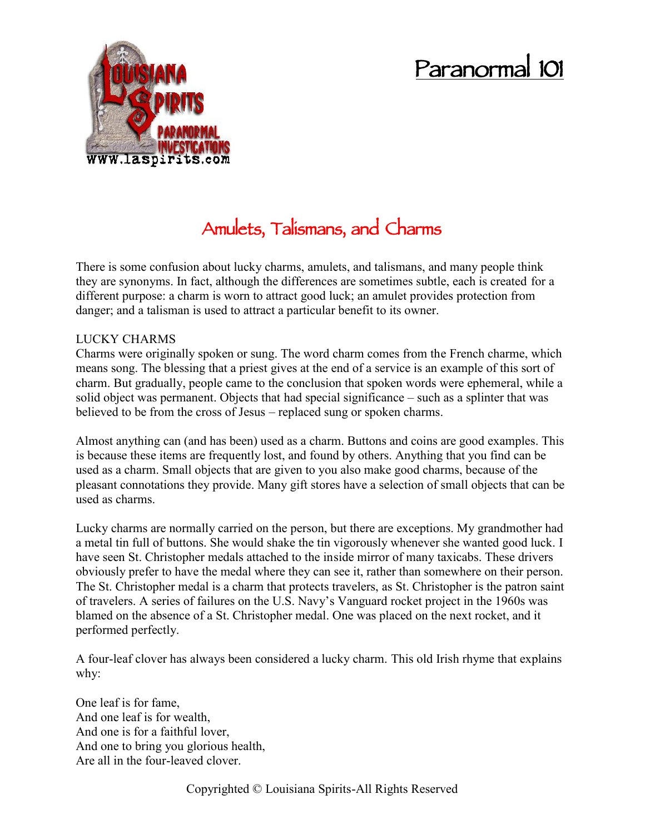# **Paranormal 101**



# **Amulets, Talismans, and Charms**

There is some confusion about lucky charms, amulets, and talismans, and many people think they are synonyms. In fact, although the differences are sometimes subtle, each is created for a different purpose: a charm is worn to attract good luck; an amulet provides protection from danger; and a talisman is used to attract a particular benefit to its owner.

## LUCKY CHARMS

Charms were originally spoken or sung. The word charm comes from the French charme, which means song. The blessing that a priest gives at the end of a service is an example of this sort of charm. But gradually, people came to the conclusion that spoken words were ephemeral, while a solid object was permanent. Objects that had special significance – such as a splinter that was believed to be from the cross of Jesus – replaced sung or spoken charms.

Almost anything can (and has been) used as a charm. Buttons and coins are good examples. This is because these items are frequently lost, and found by others. Anything that you find can be used as a charm. Small objects that are given to you also make good charms, because of the pleasant connotations they provide. Many gift stores have a selection of small objects that can be used as charms.

Lucky charms are normally carried on the person, but there are exceptions. My grandmother had a metal tin full of buttons. She would shake the tin vigorously whenever she wanted good luck. I have seen St. Christopher medals attached to the inside mirror of many taxicabs. These drivers obviously prefer to have the medal where they can see it, rather than somewhere on their person. The St. Christopher medal is a charm that protects travelers, as St. Christopher is the patron saint of travelers. A series of failures on the U.S. Navy's Vanguard rocket project in the 1960s was blamed on the absence of a St. Christopher medal. One was placed on the next rocket, and it performed perfectly.

A four-leaf clover has always been considered a lucky charm. This old Irish rhyme that explains why:

One leaf is for fame, And one leaf is for wealth, And one is for a faithful lover, And one to bring you glorious health, Are all in the four-leaved clover.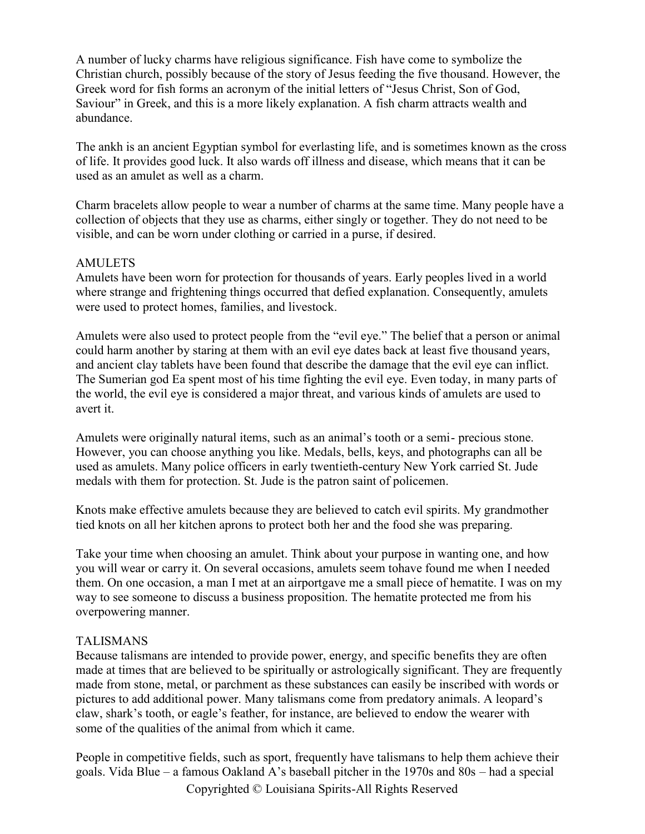A number of lucky charms have religious significance. Fish have come to symbolize the Christian church, possibly because of the story of Jesus feeding the five thousand. However, the Greek word for fish forms an acronym of the initial letters of "Jesus Christ, Son of God, Saviour" in Greek, and this is a more likely explanation. A fish charm attracts wealth and abundance.

The ankh is an ancient Egyptian symbol for everlasting life, and is sometimes known as the cross of life. It provides good luck. It also wards off illness and disease, which means that it can be used as an amulet as well as a charm.

Charm bracelets allow people to wear a number of charms at the same time. Many people have a collection of objects that they use as charms, either singly or together. They do not need to be visible, and can be worn under clothing or carried in a purse, if desired.

#### **AMULETS**

Amulets have been worn for protection for thousands of years. Early peoples lived in a world where strange and frightening things occurred that defied explanation. Consequently, amulets were used to protect homes, families, and livestock.

Amulets were also used to protect people from the "evil eye." The belief that a person or animal could harm another by staring at them with an evil eye dates back at least five thousand years, and ancient clay tablets have been found that describe the damage that the evil eye can inflict. The Sumerian god Ea spent most of his time fighting the evil eye. Even today, in many parts of the world, the evil eye is considered a major threat, and various kinds of amulets are used to avert it.

Amulets were originally natural items, such as an animal's tooth or a semi- precious stone. However, you can choose anything you like. Medals, bells, keys, and photographs can all be used as amulets. Many police officers in early twentieth-century New York carried St. Jude medals with them for protection. St. Jude is the patron saint of policemen.

Knots make effective amulets because they are believed to catch evil spirits. My grandmother tied knots on all her kitchen aprons to protect both her and the food she was preparing.

Take your time when choosing an amulet. Think about your purpose in wanting one, and how you will wear or carry it. On several occasions, amulets seem tohave found me when I needed them. On one occasion, a man I met at an airportgave me a small piece of hematite. I was on my way to see someone to discuss a business proposition. The hematite protected me from his overpowering manner.

#### TALISMANS

Because talismans are intended to provide power, energy, and specific benefits they are often made at times that are believed to be spiritually or astrologically significant. They are frequently made from stone, metal, or parchment as these substances can easily be inscribed with words or pictures to add additional power. Many talismans come from predatory animals. A leopard's claw, shark's tooth, or eagle's feather, for instance, are believed to endow the wearer with some of the qualities of the animal from which it came.

People in competitive fields, such as sport, frequently have talismans to help them achieve their goals. Vida Blue – a famous Oakland A's baseball pitcher in the 1970s and 80s – had a special

Copyrighted © Louisiana Spirits-All Rights Reserved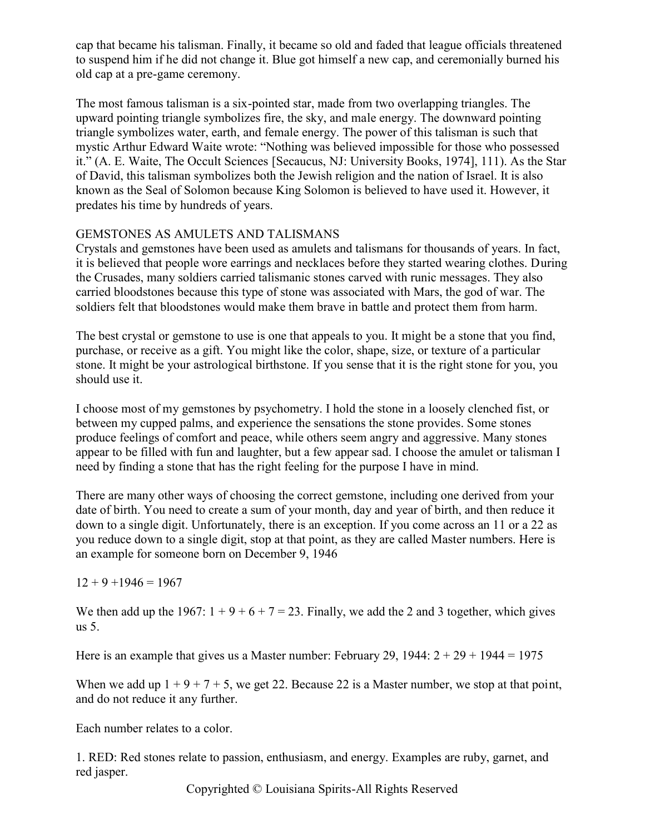cap that became his talisman. Finally, it became so old and faded that league officials threatened to suspend him if he did not change it. Blue got himself a new cap, and ceremonially burned his old cap at a pre-game ceremony.

The most famous talisman is a six-pointed star, made from two overlapping triangles. The upward pointing triangle symbolizes fire, the sky, and male energy. The downward pointing triangle symbolizes water, earth, and female energy. The power of this talisman is such that mystic Arthur Edward Waite wrote: "Nothing was believed impossible for those who possessed it." (A. E. Waite, The Occult Sciences [Secaucus, NJ: University Books, 1974], 111). As the Star of David, this talisman symbolizes both the Jewish religion and the nation of Israel. It is also known as the Seal of Solomon because King Solomon is believed to have used it. However, it predates his time by hundreds of years.

## GEMSTONES AS AMULETS AND TALISMANS

Crystals and gemstones have been used as amulets and talismans for thousands of years. In fact, it is believed that people wore earrings and necklaces before they started wearing clothes. During the Crusades, many soldiers carried talismanic stones carved with runic messages. They also carried bloodstones because this type of stone was associated with Mars, the god of war. The soldiers felt that bloodstones would make them brave in battle and protect them from harm.

The best crystal or gemstone to use is one that appeals to you. It might be a stone that you find, purchase, or receive as a gift. You might like the color, shape, size, or texture of a particular stone. It might be your astrological birthstone. If you sense that it is the right stone for you, you should use it.

I choose most of my gemstones by psychometry. I hold the stone in a loosely clenched fist, or between my cupped palms, and experience the sensations the stone provides. Some stones produce feelings of comfort and peace, while others seem angry and aggressive. Many stones appear to be filled with fun and laughter, but a few appear sad. I choose the amulet or talisman I need by finding a stone that has the right feeling for the purpose I have in mind.

There are many other ways of choosing the correct gemstone, including one derived from your date of birth. You need to create a sum of your month, day and year of birth, and then reduce it down to a single digit. Unfortunately, there is an exception. If you come across an 11 or a 22 as you reduce down to a single digit, stop at that point, as they are called Master numbers. Here is an example for someone born on December 9, 1946

 $12 + 9 + 1946 = 1967$ 

We then add up the 1967:  $1 + 9 + 6 + 7 = 23$ . Finally, we add the 2 and 3 together, which gives us 5.

Here is an example that gives us a Master number: February 29, 1944:  $2 + 29 + 1944 = 1975$ 

When we add up  $1 + 9 + 7 + 5$ , we get 22. Because 22 is a Master number, we stop at that point, and do not reduce it any further.

Each number relates to a color.

1. RED: Red stones relate to passion, enthusiasm, and energy. Examples are ruby, garnet, and red jasper.

Copyrighted © Louisiana Spirits-All Rights Reserved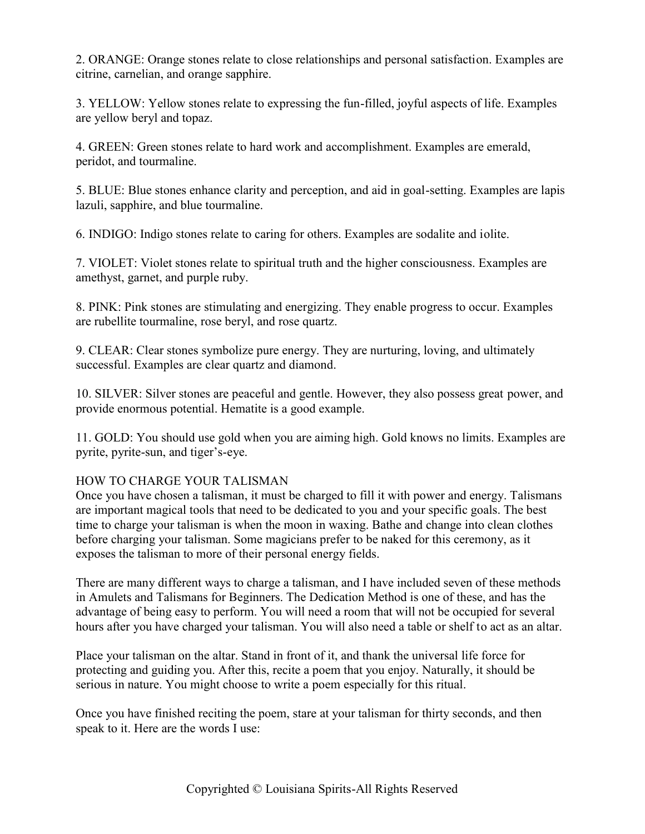2. ORANGE: Orange stones relate to close relationships and personal satisfaction. Examples are citrine, carnelian, and orange sapphire.

3. YELLOW: Yellow stones relate to expressing the fun-filled, joyful aspects of life. Examples are yellow beryl and topaz.

4. GREEN: Green stones relate to hard work and accomplishment. Examples are emerald, peridot, and tourmaline.

5. BLUE: Blue stones enhance clarity and perception, and aid in goal-setting. Examples are lapis lazuli, sapphire, and blue tourmaline.

6. INDIGO: Indigo stones relate to caring for others. Examples are sodalite and iolite.

7. VIOLET: Violet stones relate to spiritual truth and the higher consciousness. Examples are amethyst, garnet, and purple ruby.

8. PINK: Pink stones are stimulating and energizing. They enable progress to occur. Examples are rubellite tourmaline, rose beryl, and rose quartz.

9. CLEAR: Clear stones symbolize pure energy. They are nurturing, loving, and ultimately successful. Examples are clear quartz and diamond.

10. SILVER: Silver stones are peaceful and gentle. However, they also possess great power, and provide enormous potential. Hematite is a good example.

11. GOLD: You should use gold when you are aiming high. Gold knows no limits. Examples are pyrite, pyrite-sun, and tiger's-eye.

# HOW TO CHARGE YOUR TALISMAN

Once you have chosen a talisman, it must be charged to fill it with power and energy. Talismans are important magical tools that need to be dedicated to you and your specific goals. The best time to charge your talisman is when the moon in waxing. Bathe and change into clean clothes before charging your talisman. Some magicians prefer to be naked for this ceremony, as it exposes the talisman to more of their personal energy fields.

There are many different ways to charge a talisman, and I have included seven of these methods in Amulets and Talismans for Beginners. The Dedication Method is one of these, and has the advantage of being easy to perform. You will need a room that will not be occupied for several hours after you have charged your talisman. You will also need a table or shelf to act as an altar.

Place your talisman on the altar. Stand in front of it, and thank the universal life force for protecting and guiding you. After this, recite a poem that you enjoy. Naturally, it should be serious in nature. You might choose to write a poem especially for this ritual.

Once you have finished reciting the poem, stare at your talisman for thirty seconds, and then speak to it. Here are the words I use: